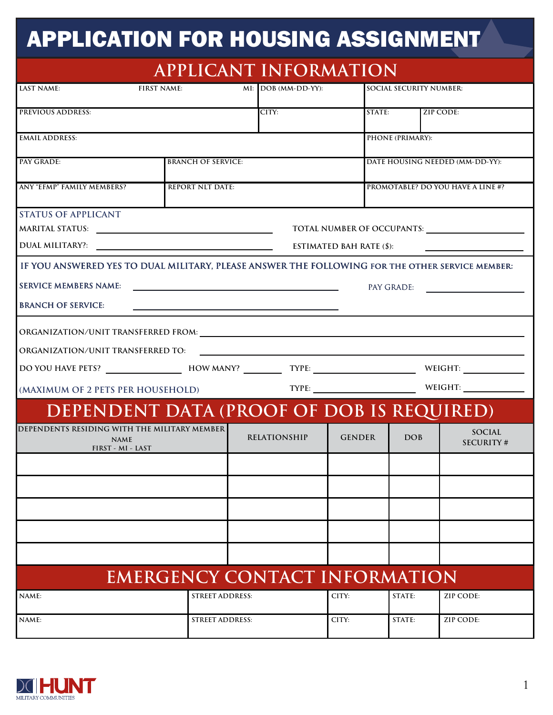## APPLICATION FOR HOUSING ASSIGNMENT

| <b>APPLICANT INFORMATION</b>                                                                                                                                                                                                                                                                                                                                                                                                                                      |                                   |                                 |                       |                                 |                                          |                            |  |  |
|-------------------------------------------------------------------------------------------------------------------------------------------------------------------------------------------------------------------------------------------------------------------------------------------------------------------------------------------------------------------------------------------------------------------------------------------------------------------|-----------------------------------|---------------------------------|-----------------------|---------------------------------|------------------------------------------|----------------------------|--|--|
| LAST NAME:                                                                                                                                                                                                                                                                                                                                                                                                                                                        | <b>FIRST NAME:</b>                |                                 | $MI: DOB (MM-DD-YY):$ |                                 | <b>SOCIAL SECURITY NUMBER:</b>           |                            |  |  |
| <b>PREVIOUS ADDRESS:</b>                                                                                                                                                                                                                                                                                                                                                                                                                                          |                                   |                                 | CITY:                 |                                 | STATE:                                   | <b>ZIP CODE:</b>           |  |  |
| <b>EMAIL ADDRESS:</b>                                                                                                                                                                                                                                                                                                                                                                                                                                             |                                   |                                 |                       |                                 | <b>PHONE (PRIMARY):</b>                  |                            |  |  |
| PAY GRADE:                                                                                                                                                                                                                                                                                                                                                                                                                                                        |                                   | <b>BRANCH OF SERVICE:</b>       |                       |                                 | DATE HOUSING NEEDED (MM-DD-YY):          |                            |  |  |
| ANY "EFMP" FAMILY MEMBERS?                                                                                                                                                                                                                                                                                                                                                                                                                                        |                                   | <b>REPORT NLT DATE:</b>         |                       |                                 | <b>PROMOTABLE? DO YOU HAVE A LINE #?</b> |                            |  |  |
| <b>STATUS OF APPLICANT</b>                                                                                                                                                                                                                                                                                                                                                                                                                                        |                                   |                                 |                       | <b>ESTIMATED BAH RATE (\$):</b> |                                          | TOTAL NUMBER OF OCCUPANTS: |  |  |
| IF YOU ANSWERED YES TO DUAL MILITARY, PLEASE ANSWER THE FOLLOWING FOR THE OTHER SERVICE MEMBER:<br><b>SERVICE MEMBERS NAME:</b><br><u> 1989 - Johann Barn, amerikansk politiker (</u><br>PAY GRADE:<br><b>BRANCH OF SERVICE:</b><br>the control of the control of the control of the control of the control of the control of the control of the control of the control of the control of the control of the control of the control of the control of the control |                                   |                                 |                       |                                 |                                          |                            |  |  |
|                                                                                                                                                                                                                                                                                                                                                                                                                                                                   |                                   |                                 |                       |                                 |                                          |                            |  |  |
|                                                                                                                                                                                                                                                                                                                                                                                                                                                                   | (MAXIMUM OF 2 PETS PER HOUSEHOLD) |                                 |                       |                                 |                                          |                            |  |  |
| DEPENDENT DATA (PROOF OF DOB IS REQUIRED)                                                                                                                                                                                                                                                                                                                                                                                                                         |                                   |                                 |                       |                                 |                                          |                            |  |  |
| DEPENDENTS RESIDING WITH THE MILITARY MEMBER<br><b>NAME</b><br>FIRST - MI - LAST                                                                                                                                                                                                                                                                                                                                                                                  |                                   |                                 | <b>RELATIONSHIP</b>   | <b>GENDER</b>                   | <b>DOB</b>                               | SOCIAL<br><b>SECURITY#</b> |  |  |
|                                                                                                                                                                                                                                                                                                                                                                                                                                                                   |                                   |                                 |                       |                                 |                                          |                            |  |  |
|                                                                                                                                                                                                                                                                                                                                                                                                                                                                   |                                   |                                 |                       |                                 |                                          |                            |  |  |
|                                                                                                                                                                                                                                                                                                                                                                                                                                                                   |                                   |                                 |                       |                                 |                                          |                            |  |  |
|                                                                                                                                                                                                                                                                                                                                                                                                                                                                   |                                   |                                 |                       |                                 |                                          |                            |  |  |
| <b>EMERGENCY CONTACT INFORMATION</b>                                                                                                                                                                                                                                                                                                                                                                                                                              |                                   |                                 |                       |                                 |                                          |                            |  |  |
| NAME:                                                                                                                                                                                                                                                                                                                                                                                                                                                             |                                   | <b>STREET ADDRESS:</b><br>CITY: |                       |                                 | STATE:                                   | ZIP CODE:                  |  |  |
| NAME:                                                                                                                                                                                                                                                                                                                                                                                                                                                             |                                   | <b>STREET ADDRESS:</b>          |                       | CITY:                           | STATE:                                   | ZIP CODE:                  |  |  |

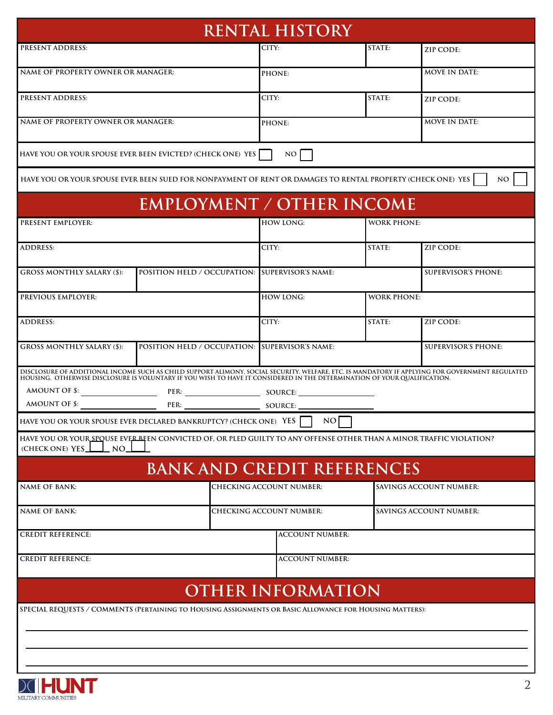| <b>RENTAL HISTORY</b>                                                                                                                                                                                                                                                                        |                                                |                          |                                   |                                |                         |                            |  |
|----------------------------------------------------------------------------------------------------------------------------------------------------------------------------------------------------------------------------------------------------------------------------------------------|------------------------------------------------|--------------------------|-----------------------------------|--------------------------------|-------------------------|----------------------------|--|
| <b>PRESENT ADDRESS:</b>                                                                                                                                                                                                                                                                      |                                                |                          | CITY:                             |                                | STATE:                  | ZIP CODE:                  |  |
| NAME OF PROPERTY OWNER OR MANAGER:                                                                                                                                                                                                                                                           |                                                |                          | PHONE:                            |                                |                         | <b>MOVE IN DATE:</b>       |  |
| <b>PRESENT ADDRESS:</b>                                                                                                                                                                                                                                                                      |                                                |                          | CITY:                             |                                | STATE:                  | ZIP CODE:                  |  |
| NAME OF PROPERTY OWNER OR MANAGER:                                                                                                                                                                                                                                                           |                                                |                          | PHONE:                            |                                |                         | <b>MOVE IN DATE:</b>       |  |
| HAVE YOU OR YOUR SPOUSE EVER BEEN EVICTED? (CHECK ONE) YES                                                                                                                                                                                                                                   |                                                |                          | NO                                |                                |                         |                            |  |
| HAVE YOU OR YOUR SPOUSE EVER BEEN SUED FOR NONPAYMENT OF RENT OR DAMAGES TO RENTAL PROPERTY (CHECK ONE) YES                                                                                                                                                                                  |                                                |                          |                                   |                                |                         | NO                         |  |
|                                                                                                                                                                                                                                                                                              | <b>EMPLOYMENT / OTHER INCOME</b>               |                          |                                   |                                |                         |                            |  |
| PRESENT EMPLOYER:                                                                                                                                                                                                                                                                            |                                                |                          | <b>HOW LONG:</b>                  |                                | <b>WORK PHONE:</b>      |                            |  |
| <b>ADDRESS:</b>                                                                                                                                                                                                                                                                              |                                                |                          | CITY:                             |                                | STATE:                  | ZIP CODE:                  |  |
| <b>GROSS MONTHLY SALARY (\$):</b>                                                                                                                                                                                                                                                            | POSITION HELD / OCCUPATION: SUPERVISOR'S NAME: |                          |                                   |                                |                         | <b>SUPERVISOR'S PHONE:</b> |  |
| PREVIOUS EMPLOYER:                                                                                                                                                                                                                                                                           |                                                |                          | <b>HOW LONG:</b>                  |                                | <b>WORK PHONE:</b>      |                            |  |
| <b>ADDRESS:</b>                                                                                                                                                                                                                                                                              |                                                |                          | CITY:                             |                                | STATE:                  | ZIP CODE:                  |  |
| <b>GROSS MONTHLY SALARY (\$):</b>                                                                                                                                                                                                                                                            | POSITION HELD / OCCUPATION: SUPERVISOR'S NAME: |                          |                                   |                                |                         | <b>SUPERVISOR'S PHONE:</b> |  |
| DISCLOSURE OF ADDITIONAL INCOME SUCH AS CHILD SUPPORT ALIMONY, SOCIAL SECURITY, WELFARE, ETC. IS MANDATORY IF APPLYING FOR GOVERNMENT REGULATED<br>HOUSING. OTHERWISE DISCLOSURE IS VOLUNTARY IF YOU WISH TO HAVE IT CONSIDERED IN THE DETERMINATION OF YOUR QUALIFICATION.<br>AMOUNT OF \$: |                                                |                          |                                   |                                |                         |                            |  |
| AMOUNT OF $\$$ :                                                                                                                                                                                                                                                                             |                                                |                          |                                   |                                |                         |                            |  |
| HAVE YOU OR YOUR SPOUSE EVER DECLARED BANKRUPTCY? (CHECK ONE) YES $\Box$ NO                                                                                                                                                                                                                  |                                                |                          |                                   |                                |                         |                            |  |
| HAVE YOU OR YOUR SPOUSE EVER BEEN CONVICTED OF, OR PLED GUILTY TO ANY OFFENSE OTHER THAN A MINOR TRAFFIC VIOLATION?<br>(CHECK ONE) YES<br>$\_ NO.$                                                                                                                                           |                                                |                          |                                   |                                |                         |                            |  |
|                                                                                                                                                                                                                                                                                              |                                                |                          | <b>BANK AND CREDIT REFERENCES</b> |                                |                         |                            |  |
| NAME OF BANK:                                                                                                                                                                                                                                                                                |                                                |                          | CHECKING ACCOUNT NUMBER:          |                                | SAVINGS ACCOUNT NUMBER: |                            |  |
| <b>NAME OF BANK:</b>                                                                                                                                                                                                                                                                         |                                                | CHECKING ACCOUNT NUMBER: |                                   | <b>SAVINGS ACCOUNT NUMBER:</b> |                         |                            |  |
| <b>CREDIT REFERENCE:</b>                                                                                                                                                                                                                                                                     |                                                |                          | <b>ACCOUNT NUMBER:</b>            |                                |                         |                            |  |
| <b>CREDIT REFERENCE:</b>                                                                                                                                                                                                                                                                     |                                                |                          | <b>ACCOUNT NUMBER:</b>            |                                |                         |                            |  |
|                                                                                                                                                                                                                                                                                              |                                                |                          | <b>OTHER INFORMATION</b>          |                                |                         |                            |  |
| SPECIAL REQUESTS / COMMENTS (PERTAINING TO HOUSING ASSIGNMENTS OR BASIC ALLOWANCE FOR HOUSING MATTERS):                                                                                                                                                                                      |                                                |                          |                                   |                                |                         |                            |  |
|                                                                                                                                                                                                                                                                                              |                                                |                          |                                   |                                |                         |                            |  |
|                                                                                                                                                                                                                                                                                              |                                                |                          |                                   |                                |                         |                            |  |
|                                                                                                                                                                                                                                                                                              |                                                |                          |                                   |                                |                         |                            |  |